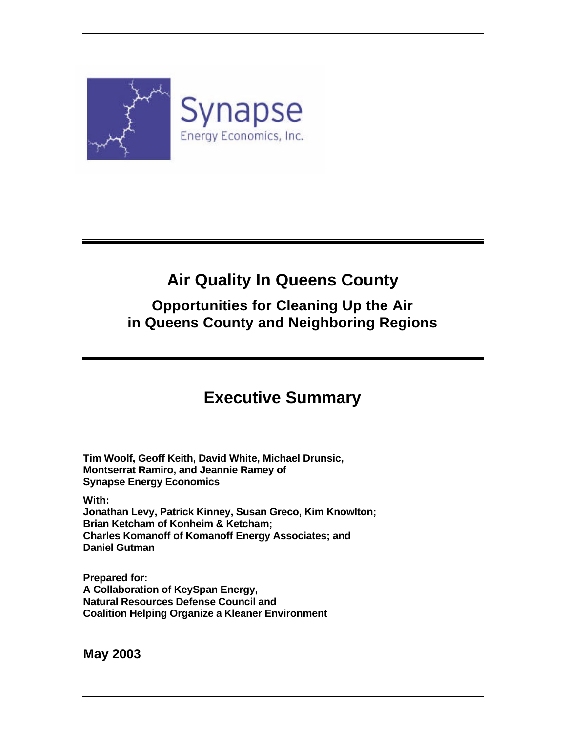

# **Air Quality In Queens County**

### **Opportunities for Cleaning Up the Air in Queens County and Neighboring Regions**

## **Executive Summary**

**Tim Woolf, Geoff Keith, David White, Michael Drunsic, Montserrat Ramiro, and Jeannie Ramey of Synapse Energy Economics**

**With:**

**Jonathan Levy, Patrick Kinney, Susan Greco, Kim Knowlton; Brian Ketcham of Konheim & Ketcham; Charles Komanoff of Komanoff Energy Associates; and Daniel Gutman**

**Prepared for: A Collaboration of KeySpan Energy, Natural Resources Defense Council and Coalition Helping Organize a Kleaner Environment** 

**May 2003**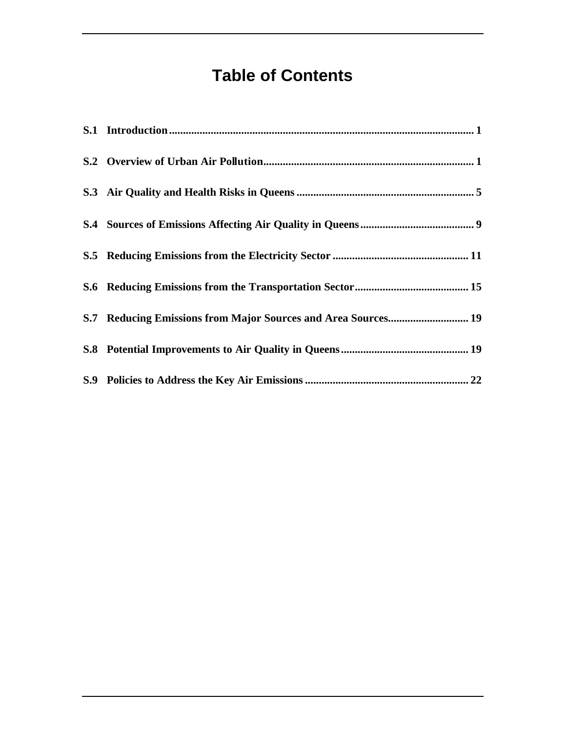# **Table of Contents**

| S.7 Reducing Emissions from Major Sources and Area Sources 19 |
|---------------------------------------------------------------|
|                                                               |
|                                                               |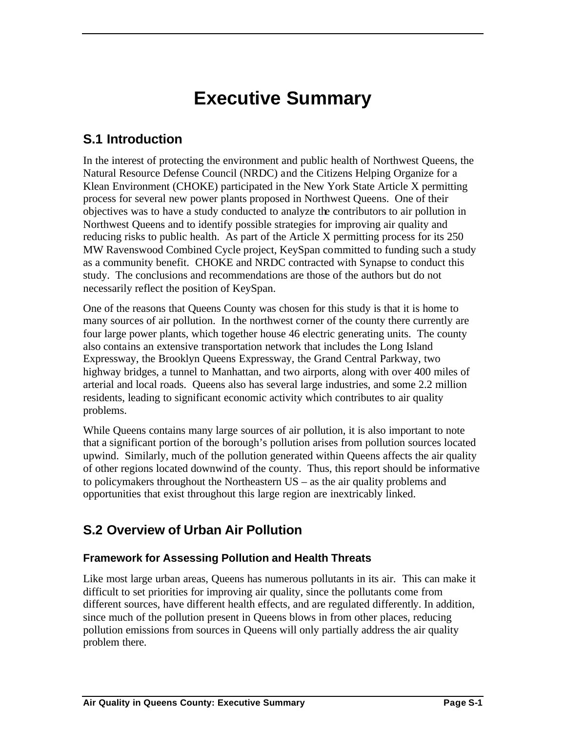# **Executive Summary**

### **S.1 Introduction**

In the interest of protecting the environment and public health of Northwest Queens, the Natural Resource Defense Council (NRDC) and the Citizens Helping Organize for a Klean Environment (CHOKE) participated in the New York State Article X permitting process for several new power plants proposed in Northwest Queens. One of their objectives was to have a study conducted to analyze the contributors to air pollution in Northwest Queens and to identify possible strategies for improving air quality and reducing risks to public health. As part of the Article X permitting process for its 250 MW Ravenswood Combined Cycle project, KeySpan committed to funding such a study as a community benefit. CHOKE and NRDC contracted with Synapse to conduct this study. The conclusions and recommendations are those of the authors but do not necessarily reflect the position of KeySpan.

One of the reasons that Queens County was chosen for this study is that it is home to many sources of air pollution. In the northwest corner of the county there currently are four large power plants, which together house 46 electric generating units. The county also contains an extensive transportation network that includes the Long Island Expressway, the Brooklyn Queens Expressway, the Grand Central Parkway, two highway bridges, a tunnel to Manhattan, and two airports, along with over 400 miles of arterial and local roads. Queens also has several large industries, and some 2.2 million residents, leading to significant economic activity which contributes to air quality problems.

While Queens contains many large sources of air pollution, it is also important to note that a significant portion of the borough's pollution arises from pollution sources located upwind. Similarly, much of the pollution generated within Queens affects the air quality of other regions located downwind of the county. Thus, this report should be informative to policymakers throughout the Northeastern US – as the air quality problems and opportunities that exist throughout this large region are inextricably linked.

### **S.2 Overview of Urban Air Pollution**

### **Framework for Assessing Pollution and Health Threats**

Like most large urban areas, Queens has numerous pollutants in its air. This can make it difficult to set priorities for improving air quality, since the pollutants come from different sources, have different health effects, and are regulated differently. In addition, since much of the pollution present in Queens blows in from other places, reducing pollution emissions from sources in Queens will only partially address the air quality problem there.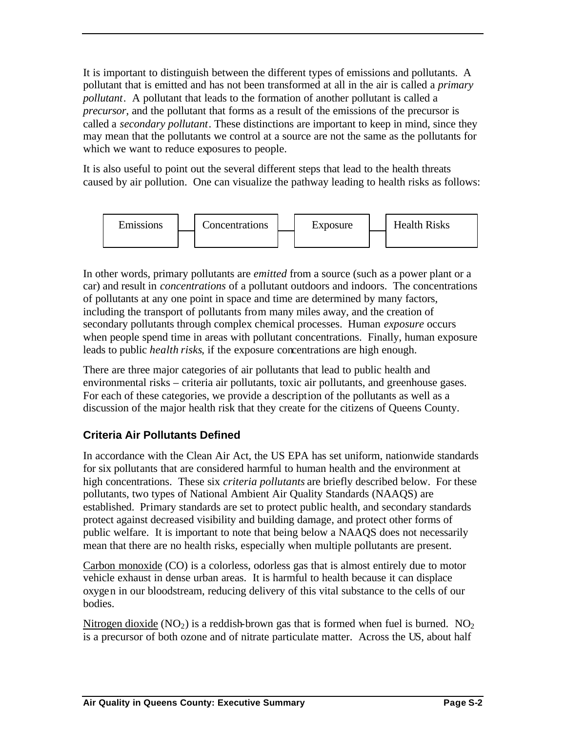It is important to distinguish between the different types of emissions and pollutants. A pollutant that is emitted and has not been transformed at all in the air is called a *primary pollutant*. A pollutant that leads to the formation of another pollutant is called a *precursor*, and the pollutant that forms as a result of the emissions of the precursor is called a *secondary pollutant*. These distinctions are important to keep in mind, since they may mean that the pollutants we control at a source are not the same as the pollutants for which we want to reduce exposures to people.

It is also useful to point out the several different steps that lead to the health threats caused by air pollution. One can visualize the pathway leading to health risks as follows:



In other words, primary pollutants are *emitted* from a source (such as a power plant or a car) and result in *concentrations* of a pollutant outdoors and indoors. The concentrations of pollutants at any one point in space and time are determined by many factors, including the transport of pollutants from many miles away, and the creation of secondary pollutants through complex chemical processes. Human *exposure* occurs when people spend time in areas with pollutant concentrations. Finally, human exposure leads to public *health risks*, if the exposure concentrations are high enough.

There are three major categories of air pollutants that lead to public health and environmental risks – criteria air pollutants, toxic air pollutants, and greenhouse gases. For each of these categories, we provide a description of the pollutants as well as a discussion of the major health risk that they create for the citizens of Queens County.

### **Criteria Air Pollutants Defined**

In accordance with the Clean Air Act, the US EPA has set uniform, nationwide standards for six pollutants that are considered harmful to human health and the environment at high concentrations. These six *criteria pollutants* are briefly described below. For these pollutants, two types of National Ambient Air Quality Standards (NAAQS) are established. Primary standards are set to protect public health, and secondary standards protect against decreased visibility and building damage, and protect other forms of public welfare. It is important to note that being below a NAAQS does not necessarily mean that there are no health risks, especially when multiple pollutants are present.

Carbon monoxide (CO) is a colorless, odorless gas that is almost entirely due to motor vehicle exhaust in dense urban areas. It is harmful to health because it can displace oxygen in our bloodstream, reducing delivery of this vital substance to the cells of our bodies.

Nitrogen dioxide  $(NO<sub>2</sub>)$  is a reddish-brown gas that is formed when fuel is burned.  $NO<sub>2</sub>$ is a precursor of both ozone and of nitrate particulate matter. Across the US, about half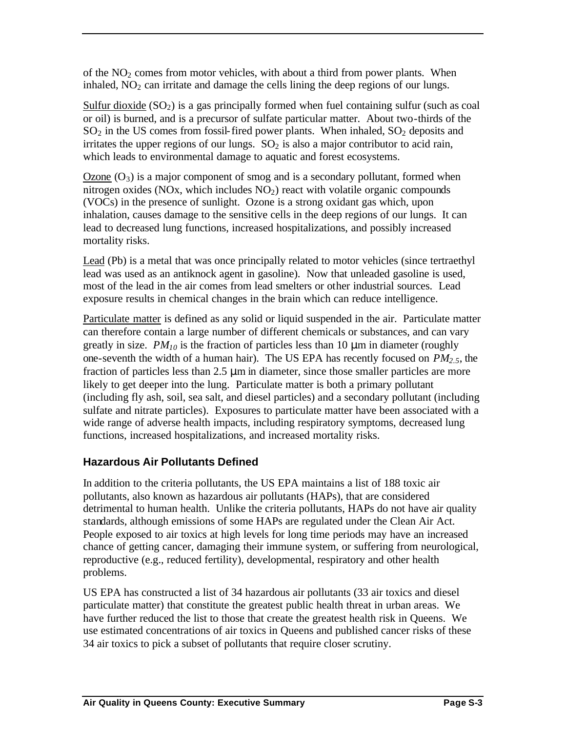of the  $NO<sub>2</sub>$  comes from motor vehicles, with about a third from power plants. When inhaled,  $NO<sub>2</sub>$  can irritate and damage the cells lining the deep regions of our lungs.

Sulfur dioxide  $(SO_2)$  is a gas principally formed when fuel containing sulfur (such as coal or oil) is burned, and is a precursor of sulfate particular matter. About two-thirds of the  $SO<sub>2</sub>$  in the US comes from fossil-fired power plants. When inhaled,  $SO<sub>2</sub>$  deposits and irritates the upper regions of our lungs.  $SO<sub>2</sub>$  is also a major contributor to acid rain, which leads to environmental damage to aquatic and forest ecosystems.

Ozone  $(O_3)$  is a major component of smog and is a secondary pollutant, formed when nitrogen oxides (NOx, which includes  $NO<sub>2</sub>$ ) react with volatile organic compounds (VOCs) in the presence of sunlight. Ozone is a strong oxidant gas which, upon inhalation, causes damage to the sensitive cells in the deep regions of our lungs. It can lead to decreased lung functions, increased hospitalizations, and possibly increased mortality risks.

Lead (Pb) is a metal that was once principally related to motor vehicles (since tertraethyl lead was used as an antiknock agent in gasoline). Now that unleaded gasoline is used, most of the lead in the air comes from lead smelters or other industrial sources. Lead exposure results in chemical changes in the brain which can reduce intelligence.

Particulate matter is defined as any solid or liquid suspended in the air. Particulate matter can therefore contain a large number of different chemicals or substances, and can vary greatly in size.  $PM_{10}$  is the fraction of particles less than 10  $\mu$ m in diameter (roughly one-seventh the width of a human hair). The US EPA has recently focused on *PM2.5*, the fraction of particles less than 2.5 μm in diameter, since those smaller particles are more likely to get deeper into the lung. Particulate matter is both a primary pollutant (including fly ash, soil, sea salt, and diesel particles) and a secondary pollutant (including sulfate and nitrate particles). Exposures to particulate matter have been associated with a wide range of adverse health impacts, including respiratory symptoms, decreased lung functions, increased hospitalizations, and increased mortality risks.

### **Hazardous Air Pollutants Defined**

In addition to the criteria pollutants, the US EPA maintains a list of 188 toxic air pollutants, also known as hazardous air pollutants (HAPs), that are considered detrimental to human health. Unlike the criteria pollutants, HAPs do not have air quality standards, although emissions of some HAPs are regulated under the Clean Air Act. People exposed to air toxics at high levels for long time periods may have an increased chance of getting cancer, damaging their immune system, or suffering from neurological, reproductive (e.g., reduced fertility), developmental, respiratory and other health problems.

US EPA has constructed a list of 34 hazardous air pollutants (33 air toxics and diesel particulate matter) that constitute the greatest public health threat in urban areas. We have further reduced the list to those that create the greatest health risk in Queens. We use estimated concentrations of air toxics in Queens and published cancer risks of these 34 air toxics to pick a subset of pollutants that require closer scrutiny.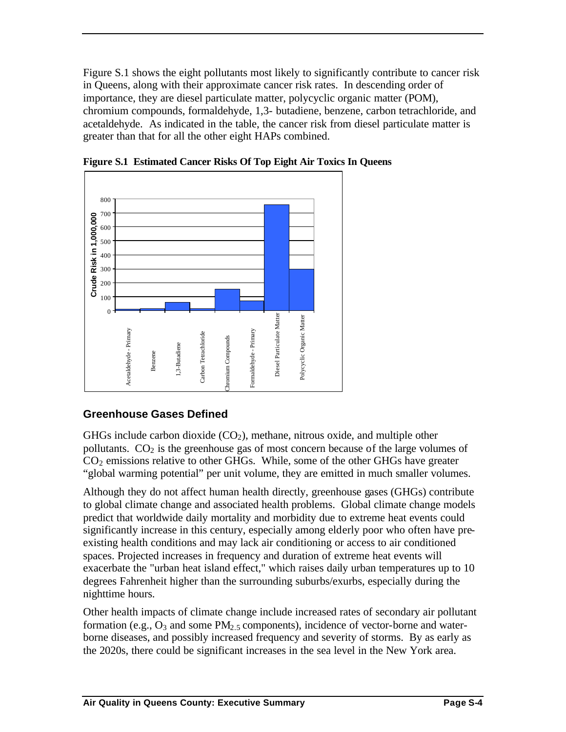Figure S.1 shows the eight pollutants most likely to significantly contribute to cancer risk in Queens, along with their approximate cancer risk rates. In descending order of importance, they are diesel particulate matter, polycyclic organic matter (POM), chromium compounds, formaldehyde, 1,3- butadiene, benzene, carbon tetrachloride, and acetaldehyde. As indicated in the table, the cancer risk from diesel particulate matter is greater than that for all the other eight HAPs combined.



**Figure S.1 Estimated Cancer Risks Of Top Eight Air Toxics In Queens**

### **Greenhouse Gases Defined**

GHGs include carbon dioxide  $(CO<sub>2</sub>)$ , methane, nitrous oxide, and multiple other pollutants.  $CO<sub>2</sub>$  is the greenhouse gas of most concern because of the large volumes of  $CO<sub>2</sub>$  emissions relative to other GHGs. While, some of the other GHGs have greater "global warming potential" per unit volume, they are emitted in much smaller volumes.

Although they do not affect human health directly, greenhouse gases (GHGs) contribute to global climate change and associated health problems. Global climate change models predict that worldwide daily mortality and morbidity due to extreme heat events could significantly increase in this century, especially among elderly poor who often have preexisting health conditions and may lack air conditioning or access to air conditioned spaces. Projected increases in frequency and duration of extreme heat events will exacerbate the "urban heat island effect," which raises daily urban temperatures up to 10 degrees Fahrenheit higher than the surrounding suburbs/exurbs, especially during the nighttime hours.

Other health impacts of climate change include increased rates of secondary air pollutant formation (e.g.,  $O_3$  and some PM<sub>2.5</sub> components), incidence of vector-borne and waterborne diseases, and possibly increased frequency and severity of storms. By as early as the 2020s, there could be significant increases in the sea level in the New York area.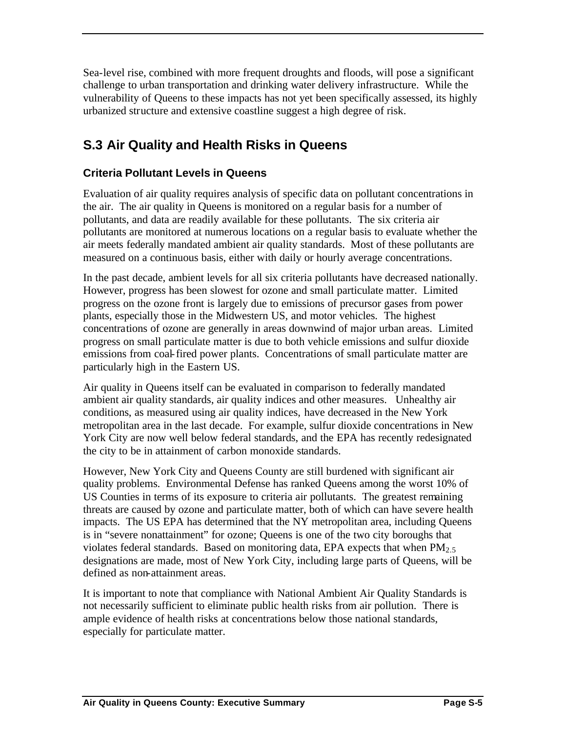Sea-level rise, combined with more frequent droughts and floods, will pose a significant challenge to urban transportation and drinking water delivery infrastructure. While the vulnerability of Queens to these impacts has not yet been specifically assessed, its highly urbanized structure and extensive coastline suggest a high degree of risk.

### **S.3 Air Quality and Health Risks in Queens**

### **Criteria Pollutant Levels in Queens**

Evaluation of air quality requires analysis of specific data on pollutant concentrations in the air. The air quality in Queens is monitored on a regular basis for a number of pollutants, and data are readily available for these pollutants. The six criteria air pollutants are monitored at numerous locations on a regular basis to evaluate whether the air meets federally mandated ambient air quality standards. Most of these pollutants are measured on a continuous basis, either with daily or hourly average concentrations.

In the past decade, ambient levels for all six criteria pollutants have decreased nationally. However, progress has been slowest for ozone and small particulate matter. Limited progress on the ozone front is largely due to emissions of precursor gases from power plants, especially those in the Midwestern US, and motor vehicles. The highest concentrations of ozone are generally in areas downwind of major urban areas. Limited progress on small particulate matter is due to both vehicle emissions and sulfur dioxide emissions from coal-fired power plants. Concentrations of small particulate matter are particularly high in the Eastern US.

Air quality in Queens itself can be evaluated in comparison to federally mandated ambient air quality standards, air quality indices and other measures. Unhealthy air conditions, as measured using air quality indices, have decreased in the New York metropolitan area in the last decade. For example, sulfur dioxide concentrations in New York City are now well below federal standards, and the EPA has recently redesignated the city to be in attainment of carbon monoxide standards.

However, New York City and Queens County are still burdened with significant air quality problems. Environmental Defense has ranked Queens among the worst 10% of US Counties in terms of its exposure to criteria air pollutants. The greatest remaining threats are caused by ozone and particulate matter, both of which can have severe health impacts. The US EPA has determined that the NY metropolitan area, including Queens is in "severe nonattainment" for ozone; Queens is one of the two city boroughs that violates federal standards. Based on monitoring data, EPA expects that when  $PM_{2.5}$ designations are made, most of New York City, including large parts of Queens, will be defined as non-attainment areas.

It is important to note that compliance with National Ambient Air Quality Standards is not necessarily sufficient to eliminate public health risks from air pollution. There is ample evidence of health risks at concentrations below those national standards, especially for particulate matter.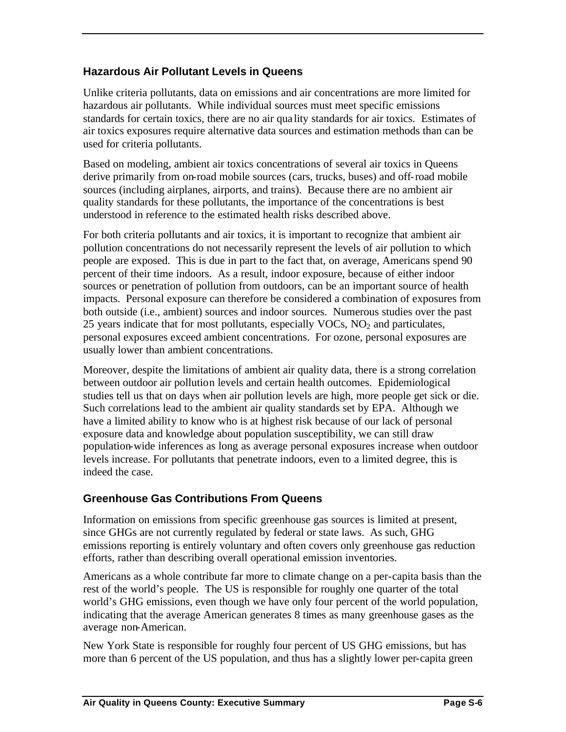### **Hazardous Air Pollutant Levels in Queens**

Unlike criteria pollutants, data on emissions and air concentrations are more limited for hazardous air pollutants. While individual sources must meet specific emissions standards for certain toxics, there are no air qua lity standards for air toxics. Estimates of air toxics exposures require alternative data sources and estimation methods than can be used for criteria pollutants.

Based on modeling, ambient air toxics concentrations of several air toxics in Queens derive primarily from on-road mobile sources (cars, trucks, buses) and off-road mobile sources (including airplanes, airports, and trains). Because there are no ambient air quality standards for these pollutants, the importance of the concentrations is best understood in reference to the estimated health risks described above.

For both criteria pollutants and air toxics, it is important to recognize that ambient air pollution concentrations do not necessarily represent the levels of air pollution to which people are exposed. This is due in part to the fact that, on average, Americans spend 90 percent of their time indoors. As a result, indoor exposure, because of either indoor sources or penetration of pollution from outdoors, can be an important source of health impacts. Personal exposure can therefore be considered a combination of exposures from both outside (i.e., ambient) sources and indoor sources. Numerous studies over the past 25 years indicate that for most pollutants, especially  $VOCs$ ,  $NO<sub>2</sub>$  and particulates, personal exposures exceed ambient concentrations. For ozone, personal exposures are usually lower than ambient concentrations.

Moreover, despite the limitations of ambient air quality data, there is a strong correlation between outdoor air pollution levels and certain health outcomes. Epidemiological studies tell us that on days when air pollution levels are high, more people get sick or die. Such correlations lead to the ambient air quality standards set by EPA. Although we have a limited ability to know who is at highest risk because of our lack of personal exposure data and knowledge about population susceptibility, we can still draw population-wide inferences as long as average personal exposures increase when outdoor levels increase. For pollutants that penetrate indoors, even to a limited degree, this is indeed the case.

### **Greenhouse Gas Contributions From Queens**

Information on emissions from specific greenhouse gas sources is limited at present, since GHGs are not currently regulated by federal or state laws. As such, GHG emissions reporting is entirely voluntary and often covers only greenhouse gas reduction efforts, rather than describing overall operational emission inventories.

Americans as a whole contribute far more to climate change on a per-capita basis than the rest of the world's people. The US is responsible for roughly one quarter of the total world's GHG emissions, even though we have only four percent of the world population, indicating that the average American generates 8 times as many greenhouse gases as the average non-American.

New York State is responsible for roughly four percent of US GHG emissions, but has more than 6 percent of the US population, and thus has a slightly lower per-capita green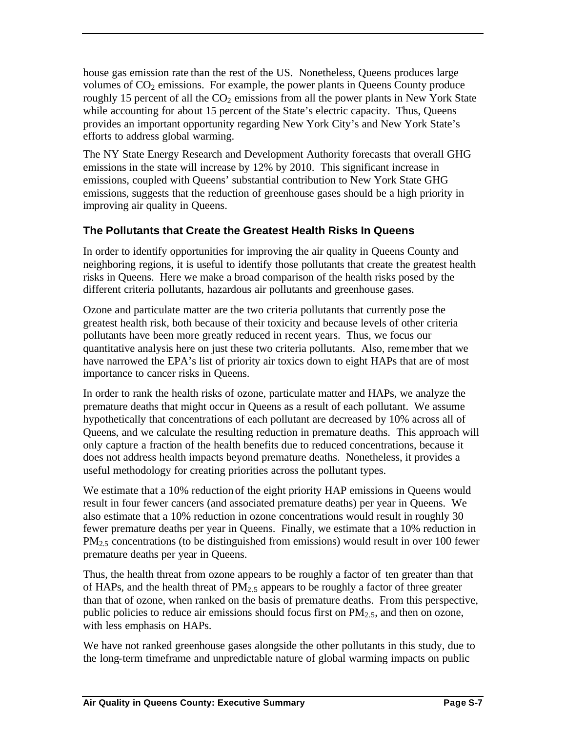house gas emission rate than the rest of the US. Nonetheless, Queens produces large volumes of  $CO<sub>2</sub>$  emissions. For example, the power plants in Queens County produce roughly 15 percent of all the  $CO<sub>2</sub>$  emissions from all the power plants in New York State while accounting for about 15 percent of the State's electric capacity. Thus, Queens provides an important opportunity regarding New York City's and New York State's efforts to address global warming.

The NY State Energy Research and Development Authority forecasts that overall GHG emissions in the state will increase by 12% by 2010. This significant increase in emissions, coupled with Queens' substantial contribution to New York State GHG emissions, suggests that the reduction of greenhouse gases should be a high priority in improving air quality in Queens.

### **The Pollutants that Create the Greatest Health Risks In Queens**

In order to identify opportunities for improving the air quality in Queens County and neighboring regions, it is useful to identify those pollutants that create the greatest health risks in Queens. Here we make a broad comparison of the health risks posed by the different criteria pollutants, hazardous air pollutants and greenhouse gases.

Ozone and particulate matter are the two criteria pollutants that currently pose the greatest health risk, both because of their toxicity and because levels of other criteria pollutants have been more greatly reduced in recent years. Thus, we focus our quantitative analysis here on just these two criteria pollutants. Also, remember that we have narrowed the EPA's list of priority air toxics down to eight HAPs that are of most importance to cancer risks in Queens.

In order to rank the health risks of ozone, particulate matter and HAPs, we analyze the premature deaths that might occur in Queens as a result of each pollutant. We assume hypothetically that concentrations of each pollutant are decreased by 10% across all of Queens, and we calculate the resulting reduction in premature deaths. This approach will only capture a fraction of the health benefits due to reduced concentrations, because it does not address health impacts beyond premature deaths. Nonetheless, it provides a useful methodology for creating priorities across the pollutant types.

We estimate that a 10% reduction of the eight priority HAP emissions in Queens would result in four fewer cancers (and associated premature deaths) per year in Queens. We also estimate that a 10% reduction in ozone concentrations would result in roughly 30 fewer premature deaths per year in Queens. Finally, we estimate that a 10% reduction in PM<sub>2.5</sub> concentrations (to be distinguished from emissions) would result in over 100 fewer premature deaths per year in Queens.

Thus, the health threat from ozone appears to be roughly a factor of ten greater than that of HAPs, and the health threat of  $PM<sub>2.5</sub>$  appears to be roughly a factor of three greater than that of ozone, when ranked on the basis of premature deaths. From this perspective, public policies to reduce air emissions should focus first on  $PM_{2.5}$ , and then on ozone, with less emphasis on HAPs.

We have not ranked greenhouse gases alongside the other pollutants in this study, due to the long-term timeframe and unpredictable nature of global warming impacts on public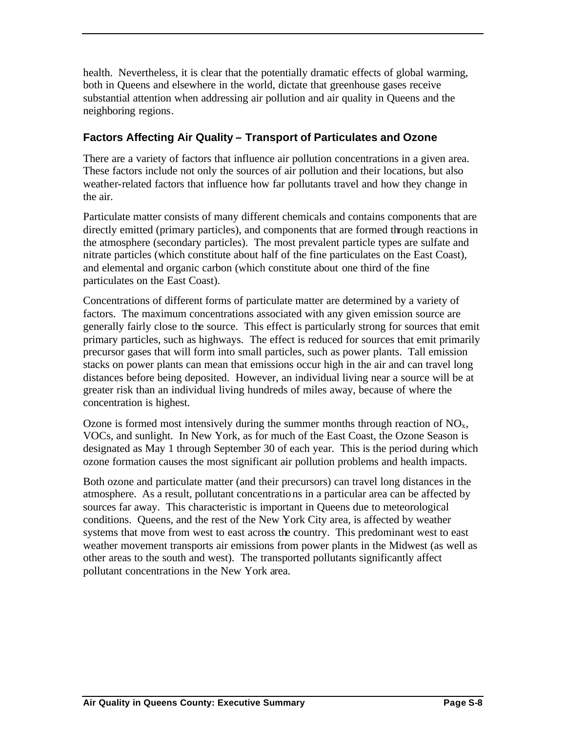health. Nevertheless, it is clear that the potentially dramatic effects of global warming, both in Queens and elsewhere in the world, dictate that greenhouse gases receive substantial attention when addressing air pollution and air quality in Queens and the neighboring regions.

### **Factors Affecting Air Quality – Transport of Particulates and Ozone**

There are a variety of factors that influence air pollution concentrations in a given area. These factors include not only the sources of air pollution and their locations, but also weather-related factors that influence how far pollutants travel and how they change in the air.

Particulate matter consists of many different chemicals and contains components that are directly emitted (primary particles), and components that are formed through reactions in the atmosphere (secondary particles). The most prevalent particle types are sulfate and nitrate particles (which constitute about half of the fine particulates on the East Coast), and elemental and organic carbon (which constitute about one third of the fine particulates on the East Coast).

Concentrations of different forms of particulate matter are determined by a variety of factors. The maximum concentrations associated with any given emission source are generally fairly close to the source. This effect is particularly strong for sources that emit primary particles, such as highways. The effect is reduced for sources that emit primarily precursor gases that will form into small particles, such as power plants. Tall emission stacks on power plants can mean that emissions occur high in the air and can travel long distances before being deposited. However, an individual living near a source will be at greater risk than an individual living hundreds of miles away, because of where the concentration is highest.

Ozone is formed most intensively during the summer months through reaction of  $NO<sub>x</sub>$ , VOCs, and sunlight. In New York, as for much of the East Coast, the Ozone Season is designated as May 1 through September 30 of each year. This is the period during which ozone formation causes the most significant air pollution problems and health impacts.

Both ozone and particulate matter (and their precursors) can travel long distances in the atmosphere. As a result, pollutant concentrations in a particular area can be affected by sources far away. This characteristic is important in Queens due to meteorological conditions. Queens, and the rest of the New York City area, is affected by weather systems that move from west to east across the country. This predominant west to east weather movement transports air emissions from power plants in the Midwest (as well as other areas to the south and west). The transported pollutants significantly affect pollutant concentrations in the New York area.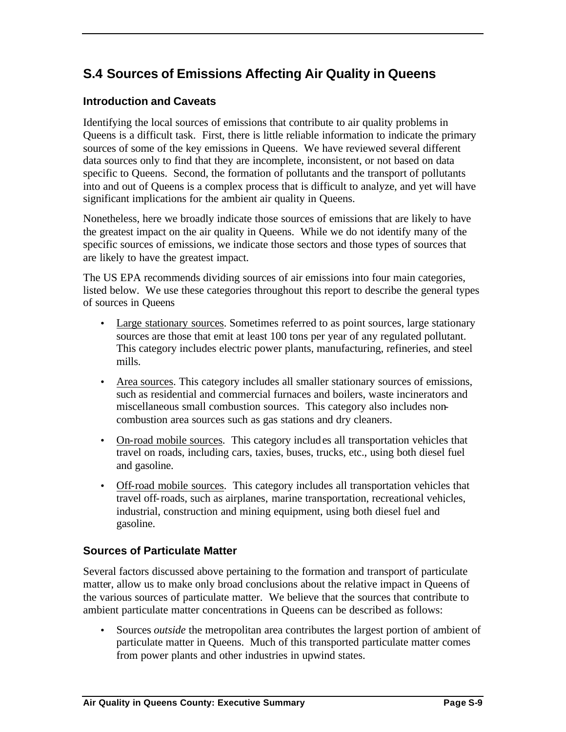### **S.4 Sources of Emissions Affecting Air Quality in Queens**

#### **Introduction and Caveats**

Identifying the local sources of emissions that contribute to air quality problems in Queens is a difficult task. First, there is little reliable information to indicate the primary sources of some of the key emissions in Queens. We have reviewed several different data sources only to find that they are incomplete, inconsistent, or not based on data specific to Queens. Second, the formation of pollutants and the transport of pollutants into and out of Queens is a complex process that is difficult to analyze, and yet will have significant implications for the ambient air quality in Queens.

Nonetheless, here we broadly indicate those sources of emissions that are likely to have the greatest impact on the air quality in Queens. While we do not identify many of the specific sources of emissions, we indicate those sectors and those types of sources that are likely to have the greatest impact.

The US EPA recommends dividing sources of air emissions into four main categories, listed below. We use these categories throughout this report to describe the general types of sources in Queens

- Large stationary sources. Sometimes referred to as point sources, large stationary sources are those that emit at least 100 tons per year of any regulated pollutant. This category includes electric power plants, manufacturing, refineries, and steel mills.
- Area sources. This category includes all smaller stationary sources of emissions, such as residential and commercial furnaces and boilers, waste incinerators and miscellaneous small combustion sources. This category also includes noncombustion area sources such as gas stations and dry cleaners.
- On-road mobile sources. This category includes all transportation vehicles that travel on roads, including cars, taxies, buses, trucks, etc., using both diesel fuel and gasoline.
- Off-road mobile sources. This category includes all transportation vehicles that travel off-roads, such as airplanes, marine transportation, recreational vehicles, industrial, construction and mining equipment, using both diesel fuel and gasoline.

#### **Sources of Particulate Matter**

Several factors discussed above pertaining to the formation and transport of particulate matter, allow us to make only broad conclusions about the relative impact in Queens of the various sources of particulate matter. We believe that the sources that contribute to ambient particulate matter concentrations in Queens can be described as follows:

• Sources *outside* the metropolitan area contributes the largest portion of ambient of particulate matter in Queens. Much of this transported particulate matter comes from power plants and other industries in upwind states.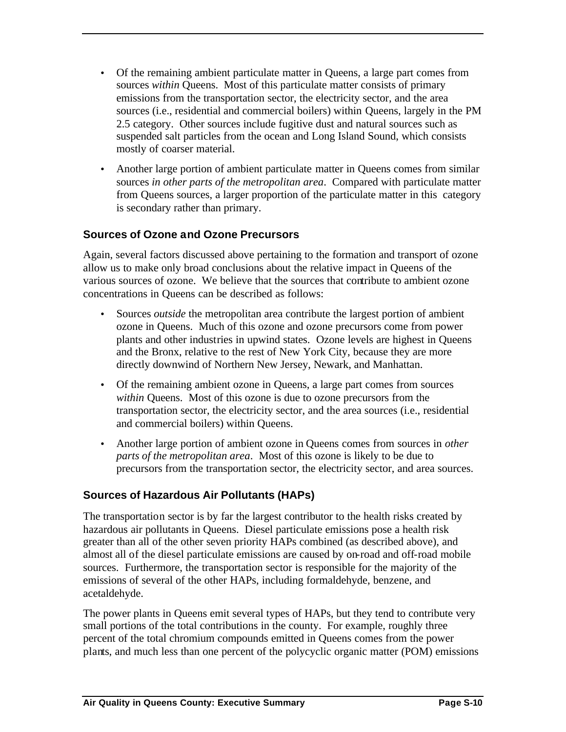- Of the remaining ambient particulate matter in Queens, a large part comes from sources *within* Queens. Most of this particulate matter consists of primary emissions from the transportation sector, the electricity sector, and the area sources (i.e., residential and commercial boilers) within Queens, largely in the PM 2.5 category. Other sources include fugitive dust and natural sources such as suspended salt particles from the ocean and Long Island Sound, which consists mostly of coarser material.
- Another large portion of ambient particulate matter in Queens comes from similar sources *in other parts of the metropolitan area*. Compared with particulate matter from Queens sources, a larger proportion of the particulate matter in this category is secondary rather than primary.

### **Sources of Ozone and Ozone Precursors**

Again, several factors discussed above pertaining to the formation and transport of ozone allow us to make only broad conclusions about the relative impact in Queens of the various sources of ozone. We believe that the sources that contribute to ambient ozone concentrations in Queens can be described as follows:

- Sources *outside* the metropolitan area contribute the largest portion of ambient ozone in Queens. Much of this ozone and ozone precursors come from power plants and other industries in upwind states. Ozone levels are highest in Queens and the Bronx, relative to the rest of New York City, because they are more directly downwind of Northern New Jersey, Newark, and Manhattan.
- Of the remaining ambient ozone in Queens, a large part comes from sources *within* Queens. Most of this ozone is due to ozone precursors from the transportation sector, the electricity sector, and the area sources (i.e., residential and commercial boilers) within Queens.
- Another large portion of ambient ozone in Queens comes from sources in *other parts of the metropolitan area*. Most of this ozone is likely to be due to precursors from the transportation sector, the electricity sector, and area sources.

### **Sources of Hazardous Air Pollutants (HAPs)**

The transportation sector is by far the largest contributor to the health risks created by hazardous air pollutants in Queens. Diesel particulate emissions pose a health risk greater than all of the other seven priority HAPs combined (as described above), and almost all of the diesel particulate emissions are caused by on-road and off-road mobile sources. Furthermore, the transportation sector is responsible for the majority of the emissions of several of the other HAPs, including formaldehyde, benzene, and acetaldehyde.

The power plants in Queens emit several types of HAPs, but they tend to contribute very small portions of the total contributions in the county. For example, roughly three percent of the total chromium compounds emitted in Queens comes from the power plants, and much less than one percent of the polycyclic organic matter (POM) emissions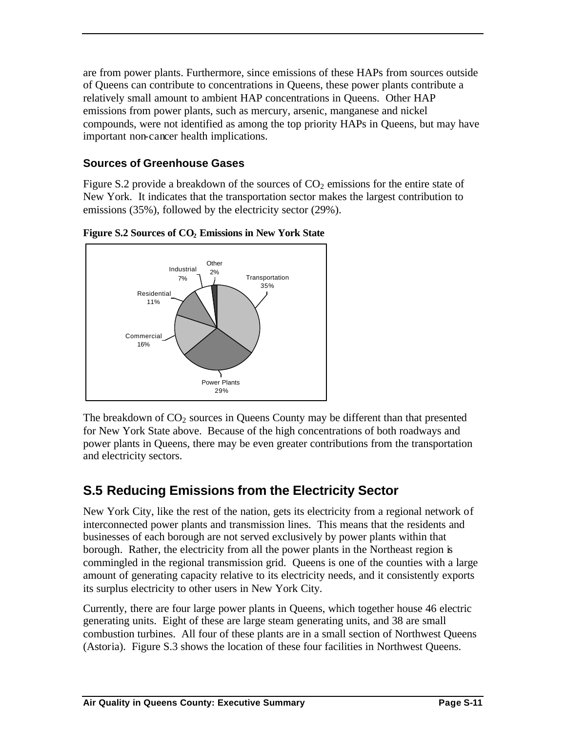are from power plants. Furthermore, since emissions of these HAPs from sources outside of Queens can contribute to concentrations in Queens, these power plants contribute a relatively small amount to ambient HAP concentrations in Queens. Other HAP emissions from power plants, such as mercury, arsenic, manganese and nickel compounds, were not identified as among the top priority HAPs in Queens, but may have important non-cancer health implications.

### **Sources of Greenhouse Gases**

Figure S.2 provide a breakdown of the sources of  $CO<sub>2</sub>$  emissions for the entire state of New York. It indicates that the transportation sector makes the largest contribution to emissions (35%), followed by the electricity sector (29%).



**Figure S.2 Sources of CO2 Emissions in New York State**

The breakdown of  $CO<sub>2</sub>$  sources in Queens County may be different than that presented for New York State above. Because of the high concentrations of both roadways and power plants in Queens, there may be even greater contributions from the transportation and electricity sectors.

### **S.5 Reducing Emissions from the Electricity Sector**

New York City, like the rest of the nation, gets its electricity from a regional network of interconnected power plants and transmission lines. This means that the residents and businesses of each borough are not served exclusively by power plants within that borough. Rather, the electricity from all the power plants in the Northeast region is commingled in the regional transmission grid. Queens is one of the counties with a large amount of generating capacity relative to its electricity needs, and it consistently exports its surplus electricity to other users in New York City.

Currently, there are four large power plants in Queens, which together house 46 electric generating units. Eight of these are large steam generating units, and 38 are small combustion turbines. All four of these plants are in a small section of Northwest Queens (Astoria). Figure S.3 shows the location of these four facilities in Northwest Queens.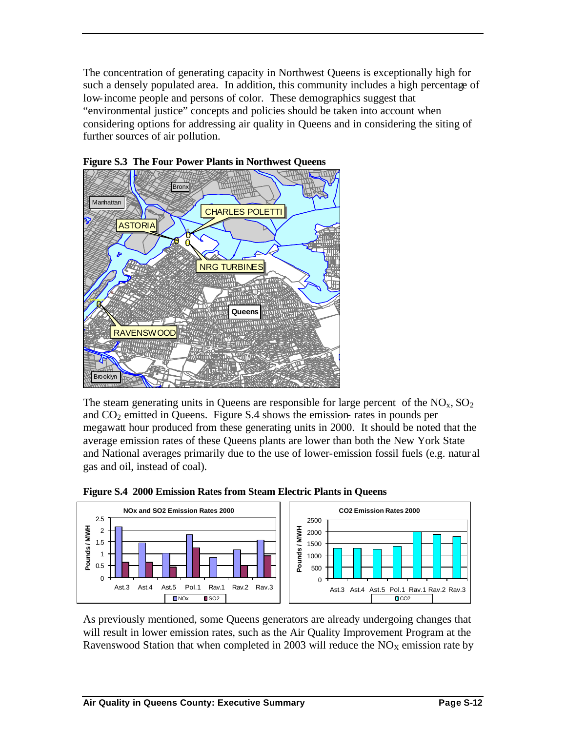The concentration of generating capacity in Northwest Queens is exceptionally high for such a densely populated area. In addition, this community includes a high percentage of low-income people and persons of color. These demographics suggest that "environmental justice" concepts and policies should be taken into account when considering options for addressing air quality in Queens and in considering the siting of further sources of air pollution.





The steam generating units in Queens are responsible for large percent of the  $NO<sub>x</sub>$ ,  $SO<sub>2</sub>$ and  $CO<sub>2</sub>$  emitted in Queens. Figure S.4 shows the emission- rates in pounds per megawatt hour produced from these generating units in 2000. It should be noted that the average emission rates of these Queens plants are lower than both the New York State and National averages primarily due to the use of lower-emission fossil fuels (e.g. natur al gas and oil, instead of coal).



**Figure S.4 2000 Emission Rates from Steam Electric Plants in Queens**

As previously mentioned, some Queens generators are already undergoing changes that will result in lower emission rates, such as the Air Quality Improvement Program at the Ravenswood Station that when completed in 2003 will reduce the  $NO<sub>X</sub>$  emission rate by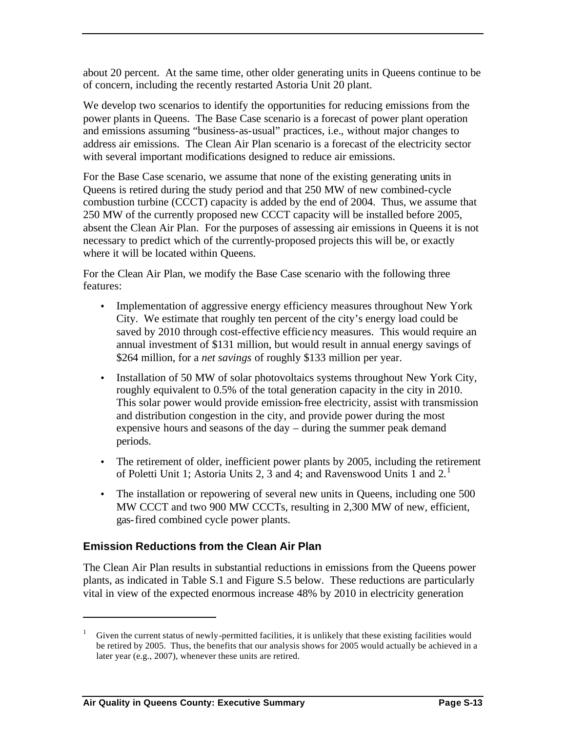about 20 percent. At the same time, other older generating units in Queens continue to be of concern, including the recently restarted Astoria Unit 20 plant.

We develop two scenarios to identify the opportunities for reducing emissions from the power plants in Queens. The Base Case scenario is a forecast of power plant operation and emissions assuming "business-as-usual" practices, i.e., without major changes to address air emissions. The Clean Air Plan scenario is a forecast of the electricity sector with several important modifications designed to reduce air emissions.

For the Base Case scenario, we assume that none of the existing generating units in Queens is retired during the study period and that 250 MW of new combined-cycle combustion turbine (CCCT) capacity is added by the end of 2004. Thus, we assume that 250 MW of the currently proposed new CCCT capacity will be installed before 2005, absent the Clean Air Plan. For the purposes of assessing air emissions in Queens it is not necessary to predict which of the currently-proposed projects this will be, or exactly where it will be located within Queens.

For the Clean Air Plan, we modify the Base Case scenario with the following three features:

- Implementation of aggressive energy efficiency measures throughout New York City. We estimate that roughly ten percent of the city's energy load could be saved by 2010 through cost-effective efficiency measures. This would require an annual investment of \$131 million, but would result in annual energy savings of \$264 million, for a *net savings* of roughly \$133 million per year.
- Installation of 50 MW of solar photovoltaics systems throughout New York City, roughly equivalent to 0.5% of the total generation capacity in the city in 2010. This solar power would provide emission-free electricity, assist with transmission and distribution congestion in the city, and provide power during the most expensive hours and seasons of the day – during the summer peak demand periods.
- The retirement of older, inefficient power plants by 2005, including the retirement of Poletti Unit 1; Astoria Units 2, 3 and 4; and Ravenswood Units 1 and  $2<sup>1</sup>$
- The installation or repowering of several new units in Queens, including one 500 MW CCCT and two 900 MW CCCTs, resulting in 2,300 MW of new, efficient, gas-fired combined cycle power plants.

### **Emission Reductions from the Clean Air Plan**

The Clean Air Plan results in substantial reductions in emissions from the Queens power plants, as indicated in Table S.1 and Figure S.5 below. These reductions are particularly vital in view of the expected enormous increase 48% by 2010 in electricity generation

 $\overline{a}$ 

<sup>1</sup> Given the current status of newly-permitted facilities, it is unlikely that these existing facilities would be retired by 2005. Thus, the benefits that our analysis shows for 2005 would actually be achieved in a later year (e.g., 2007), whenever these units are retired.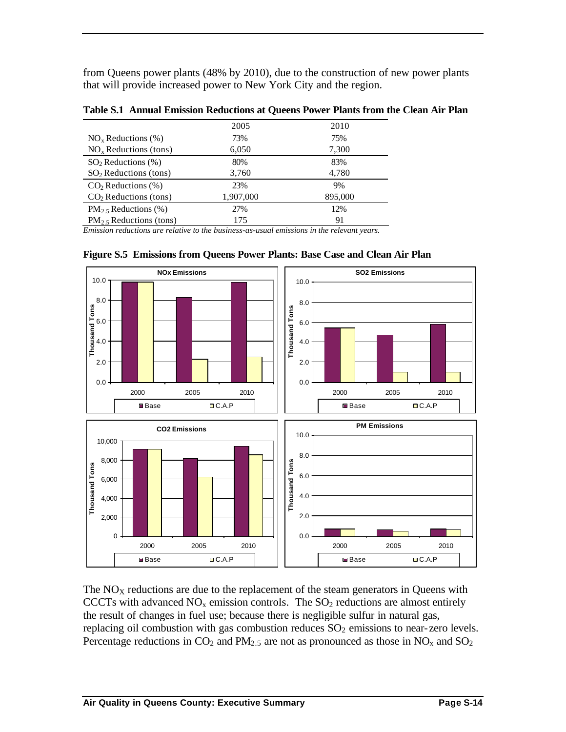from Queens power plants (48% by 2010), due to the construction of new power plants that will provide increased power to New York City and the region.

| 2005<br>73% | 2010<br>75% |
|-------------|-------------|
|             |             |
|             |             |
| 6,050       | 7,300       |
| 80%         | 83%         |
| 3,760       | 4,780       |
| 23%         | 9%          |
| 1,907,000   | 895,000     |
| 27%         | 12%         |
| 175         | 91          |
|             | .           |

**Table S.1 Annual Emission Reductions at Queens Power Plants from the Clean Air Plan**

*Emission reductions are relative to the business-as-usual emissions in the relevant years.*



**Figure S.5 Emissions from Queens Power Plants: Base Case and Clean Air Plan**

The  $NO<sub>X</sub>$  reductions are due to the replacement of the steam generators in Queens with CCCTs with advanced  $NO<sub>x</sub>$  emission controls. The  $SO<sub>2</sub>$  reductions are almost entirely the result of changes in fuel use; because there is negligible sulfur in natural gas, replacing oil combustion with gas combustion reduces  $SO<sub>2</sub>$  emissions to near-zero levels. Percentage reductions in  $CO_2$  and  $PM_{2.5}$  are not as pronounced as those in  $NO_x$  and  $SO_2$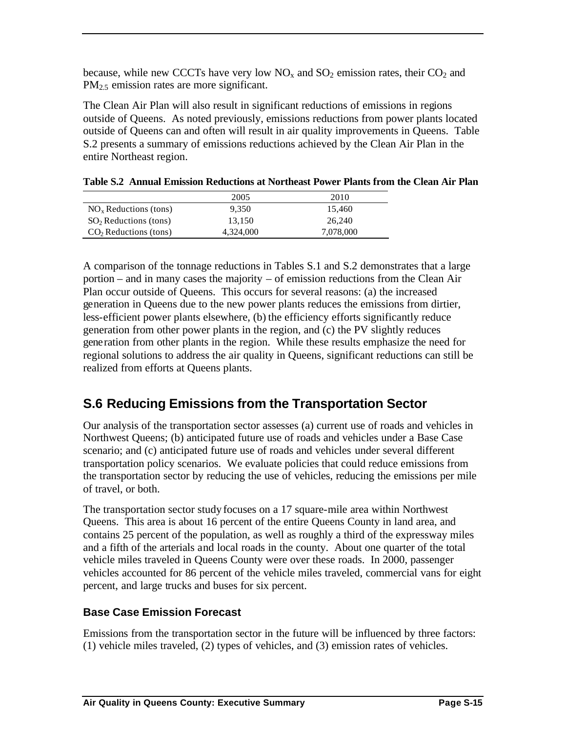because, while new CCCTs have very low  $NO<sub>x</sub>$  and  $SO<sub>2</sub>$  emission rates, their  $CO<sub>2</sub>$  and PM<sub>2.5</sub> emission rates are more significant.

The Clean Air Plan will also result in significant reductions of emissions in regions outside of Queens. As noted previously, emissions reductions from power plants located outside of Queens can and often will result in air quality improvements in Queens. Table S.2 presents a summary of emissions reductions achieved by the Clean Air Plan in the entire Northeast region.

|                         | 2005      | 2010      |
|-------------------------|-----------|-----------|
| $NOx$ Reductions (tons) | 9.350     | 15.460    |
| $SO2$ Reductions (tons) | 13.150    | 26.240    |
| $CO2$ Reductions (tons) | 4,324,000 | 7,078,000 |

A comparison of the tonnage reductions in Tables S.1 and S.2 demonstrates that a large portion – and in many cases the majority – of emission reductions from the Clean Air Plan occur outside of Queens. This occurs for several reasons: (a) the increased generation in Queens due to the new power plants reduces the emissions from dirtier, less-efficient power plants elsewhere, (b) the efficiency efforts significantly reduce generation from other power plants in the region, and (c) the PV slightly reduces generation from other plants in the region. While these results emphasize the need for regional solutions to address the air quality in Queens, significant reductions can still be realized from efforts at Queens plants.

### **S.6 Reducing Emissions from the Transportation Sector**

Our analysis of the transportation sector assesses (a) current use of roads and vehicles in Northwest Queens; (b) anticipated future use of roads and vehicles under a Base Case scenario; and (c) anticipated future use of roads and vehicles under several different transportation policy scenarios. We evaluate policies that could reduce emissions from the transportation sector by reducing the use of vehicles, reducing the emissions per mile of travel, or both.

The transportation sector study focuses on a 17 square-mile area within Northwest Queens. This area is about 16 percent of the entire Queens County in land area, and contains 25 percent of the population, as well as roughly a third of the expressway miles and a fifth of the arterials and local roads in the county. About one quarter of the total vehicle miles traveled in Queens County were over these roads. In 2000, passenger vehicles accounted for 86 percent of the vehicle miles traveled, commercial vans for eight percent, and large trucks and buses for six percent.

### **Base Case Emission Forecast**

Emissions from the transportation sector in the future will be influenced by three factors: (1) vehicle miles traveled, (2) types of vehicles, and (3) emission rates of vehicles.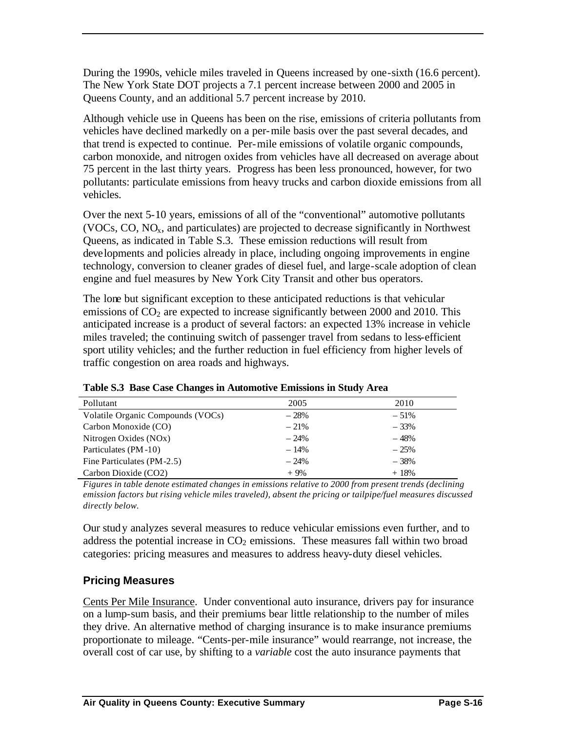During the 1990s, vehicle miles traveled in Queens increased by one-sixth (16.6 percent). The New York State DOT projects a 7.1 percent increase between 2000 and 2005 in Queens County, and an additional 5.7 percent increase by 2010.

Although vehicle use in Queens has been on the rise, emissions of criteria pollutants from vehicles have declined markedly on a per-mile basis over the past several decades, and that trend is expected to continue. Per-mile emissions of volatile organic compounds, carbon monoxide, and nitrogen oxides from vehicles have all decreased on average about 75 percent in the last thirty years. Progress has been less pronounced, however, for two pollutants: particulate emissions from heavy trucks and carbon dioxide emissions from all vehicles.

Over the next 5-10 years, emissions of all of the "conventional" automotive pollutants (VOCs, CO,  $NO<sub>x</sub>$ , and particulates) are projected to decrease significantly in Northwest Queens, as indicated in Table S.3. These emission reductions will result from developments and policies already in place, including ongoing improvements in engine technology, conversion to cleaner grades of diesel fuel, and large-scale adoption of clean engine and fuel measures by New York City Transit and other bus operators.

The lone but significant exception to these anticipated reductions is that vehicular emissions of  $CO<sub>2</sub>$  are expected to increase significantly between 2000 and 2010. This anticipated increase is a product of several factors: an expected 13% increase in vehicle miles traveled; the continuing switch of passenger travel from sedans to less-efficient sport utility vehicles; and the further reduction in fuel efficiency from higher levels of traffic congestion on area roads and highways.

| Pollutant                         | 2005   | 2010    |
|-----------------------------------|--------|---------|
| Volatile Organic Compounds (VOCs) | $-28%$ | $-51\%$ |
| Carbon Monoxide (CO)              | $-21%$ | $-33%$  |
| Nitrogen Oxides (NOx)             | $-24%$ | $-48%$  |
| Particulates (PM-10)              | $-14%$ | $-25%$  |
| Fine Particulates (PM-2.5)        | $-24%$ | $-38%$  |
| Carbon Dioxide (CO2)              | $+9%$  | $+18%$  |

**Table S.3 Base Case Changes in Automotive Emissions in Study Area**

*Figures in table denote estimated changes in emissions relative to 2000 from present trends (declining emission factors but rising vehicle miles traveled), absent the pricing or tailpipe/fuel measures discussed directly below.*

Our study analyzes several measures to reduce vehicular emissions even further, and to address the potential increase in  $CO<sub>2</sub>$  emissions. These measures fall within two broad categories: pricing measures and measures to address heavy-duty diesel vehicles.

### **Pricing Measures**

Cents Per Mile Insurance. Under conventional auto insurance, drivers pay for insurance on a lump-sum basis, and their premiums bear little relationship to the number of miles they drive. An alternative method of charging insurance is to make insurance premiums proportionate to mileage. "Cents-per-mile insurance" would rearrange, not increase, the overall cost of car use, by shifting to a *variable* cost the auto insurance payments that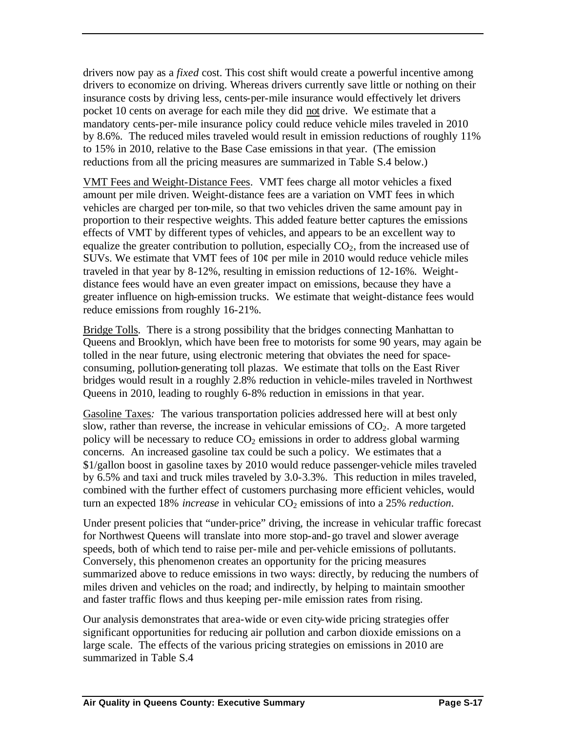drivers now pay as a *fixed* cost. This cost shift would create a powerful incentive among drivers to economize on driving. Whereas drivers currently save little or nothing on their insurance costs by driving less, cents-per-mile insurance would effectively let drivers pocket 10 cents on average for each mile they did not drive. We estimate that a mandatory cents-per-mile insurance policy could reduce vehicle miles traveled in 2010 by 8.6%. The reduced miles traveled would result in emission reductions of roughly 11% to 15% in 2010, relative to the Base Case emissions in that year. (The emission reductions from all the pricing measures are summarized in Table S.4 below.)

VMT Fees and Weight-Distance Fees. VMT fees charge all motor vehicles a fixed amount per mile driven. Weight-distance fees are a variation on VMT fees in which vehicles are charged per ton-mile, so that two vehicles driven the same amount pay in proportion to their respective weights. This added feature better captures the emissions effects of VMT by different types of vehicles, and appears to be an excellent way to equalize the greater contribution to pollution, especially  $CO<sub>2</sub>$ , from the increased use of SUVs. We estimate that VMT fees of  $10¢$  per mile in 2010 would reduce vehicle miles traveled in that year by 8-12%, resulting in emission reductions of 12-16%. Weightdistance fees would have an even greater impact on emissions, because they have a greater influence on high-emission trucks. We estimate that weight-distance fees would reduce emissions from roughly 16-21%.

Bridge Tolls. There is a strong possibility that the bridges connecting Manhattan to Queens and Brooklyn, which have been free to motorists for some 90 years, may again be tolled in the near future, using electronic metering that obviates the need for spaceconsuming, pollution-generating toll plazas. We estimate that tolls on the East River bridges would result in a roughly 2.8% reduction in vehicle-miles traveled in Northwest Queens in 2010, leading to roughly 6-8% reduction in emissions in that year.

Gasoline Taxes*:* The various transportation policies addressed here will at best only slow, rather than reverse, the increase in vehicular emissions of  $CO<sub>2</sub>$ . A more targeted policy will be necessary to reduce  $CO<sub>2</sub>$  emissions in order to address global warming concerns. An increased gasoline tax could be such a policy. We estimates that a \$1/gallon boost in gasoline taxes by 2010 would reduce passenger-vehicle miles traveled by 6.5% and taxi and truck miles traveled by 3.0-3.3%. This reduction in miles traveled, combined with the further effect of customers purchasing more efficient vehicles, would turn an expected 18% *increase* in vehicular CO<sub>2</sub> emissions of into a 25% *reduction*.

Under present policies that "under-price" driving, the increase in vehicular traffic forecast for Northwest Queens will translate into more stop-and-go travel and slower average speeds, both of which tend to raise per-mile and per-vehicle emissions of pollutants. Conversely, this phenomenon creates an opportunity for the pricing measures summarized above to reduce emissions in two ways: directly, by reducing the numbers of miles driven and vehicles on the road; and indirectly, by helping to maintain smoother and faster traffic flows and thus keeping per-mile emission rates from rising.

Our analysis demonstrates that area-wide or even city-wide pricing strategies offer significant opportunities for reducing air pollution and carbon dioxide emissions on a large scale. The effects of the various pricing strategies on emissions in 2010 are summarized in Table S.4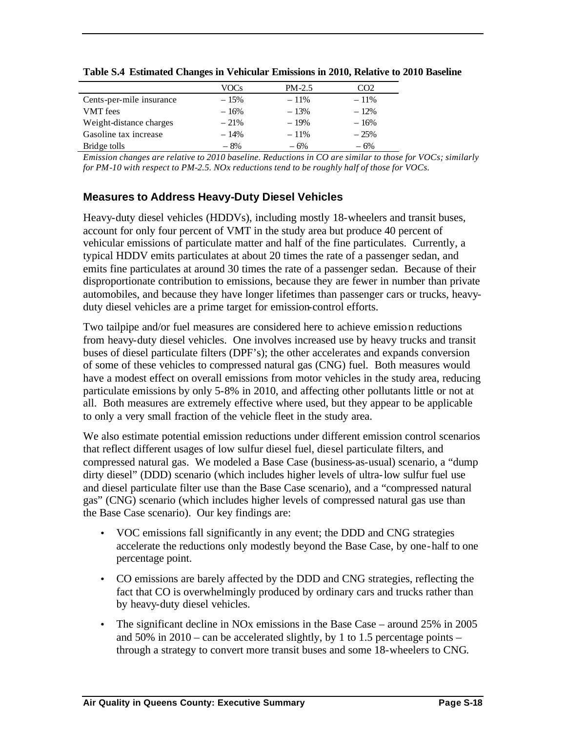|                          | VOCs   | $PM-2.5$ | CO <sub>2</sub> |
|--------------------------|--------|----------|-----------------|
| Cents-per-mile insurance | $-15%$ | $-11\%$  | $-11\%$         |
| <b>VMT</b> fees          | $-16%$ | $-13%$   | $-12%$          |
| Weight-distance charges  | $-21%$ | $-19%$   | $-16%$          |
| Gasoline tax increase    | $-14%$ | $-11\%$  | $-25%$          |
| Bridge tolls             | $-8%$  | $-6%$    | $-6%$           |

**Table S.4 Estimated Changes in Vehicular Emissions in 2010, Relative to 2010 Baseline**

*Emission changes are relative to 2010 baseline. Reductions in CO are similar to those for VOCs; similarly for PM-10 with respect to PM-2.5. NOx reductions tend to be roughly half of those for VOCs.*

### **Measures to Address Heavy-Duty Diesel Vehicles**

Heavy-duty diesel vehicles (HDDVs), including mostly 18-wheelers and transit buses, account for only four percent of VMT in the study area but produce 40 percent of vehicular emissions of particulate matter and half of the fine particulates. Currently, a typical HDDV emits particulates at about 20 times the rate of a passenger sedan, and emits fine particulates at around 30 times the rate of a passenger sedan. Because of their disproportionate contribution to emissions, because they are fewer in number than private automobiles, and because they have longer lifetimes than passenger cars or trucks, heavyduty diesel vehicles are a prime target for emission-control efforts.

Two tailpipe and/or fuel measures are considered here to achieve emission reductions from heavy-duty diesel vehicles. One involves increased use by heavy trucks and transit buses of diesel particulate filters (DPF's); the other accelerates and expands conversion of some of these vehicles to compressed natural gas (CNG) fuel. Both measures would have a modest effect on overall emissions from motor vehicles in the study area, reducing particulate emissions by only 5-8% in 2010, and affecting other pollutants little or not at all. Both measures are extremely effective where used, but they appear to be applicable to only a very small fraction of the vehicle fleet in the study area.

We also estimate potential emission reductions under different emission control scenarios that reflect different usages of low sulfur diesel fuel, diesel particulate filters, and compressed natural gas. We modeled a Base Case (business-as-usual) scenario, a "dump dirty diesel" (DDD) scenario (which includes higher levels of ultra-low sulfur fuel use and diesel particulate filter use than the Base Case scenario), and a "compressed natural gas" (CNG) scenario (which includes higher levels of compressed natural gas use than the Base Case scenario). Our key findings are:

- VOC emissions fall significantly in any event; the DDD and CNG strategies accelerate the reductions only modestly beyond the Base Case, by one-half to one percentage point.
- CO emissions are barely affected by the DDD and CNG strategies, reflecting the fact that CO is overwhelmingly produced by ordinary cars and trucks rather than by heavy-duty diesel vehicles.
- The significant decline in NO<sub>x</sub> emissions in the Base Case around 25% in 2005 and  $50\%$  in  $2010 - \text{can}$  be accelerated slightly, by 1 to 1.5 percentage points – through a strategy to convert more transit buses and some 18-wheelers to CNG.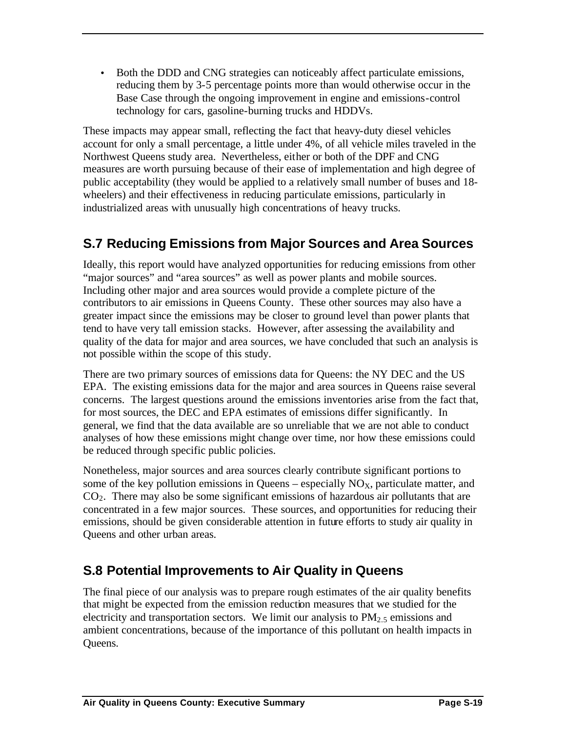• Both the DDD and CNG strategies can noticeably affect particulate emissions, reducing them by 3-5 percentage points more than would otherwise occur in the Base Case through the ongoing improvement in engine and emissions-control technology for cars, gasoline-burning trucks and HDDVs.

These impacts may appear small, reflecting the fact that heavy-duty diesel vehicles account for only a small percentage, a little under 4%, of all vehicle miles traveled in the Northwest Queens study area. Nevertheless, either or both of the DPF and CNG measures are worth pursuing because of their ease of implementation and high degree of public acceptability (they would be applied to a relatively small number of buses and 18 wheelers) and their effectiveness in reducing particulate emissions, particularly in industrialized areas with unusually high concentrations of heavy trucks.

### **S.7 Reducing Emissions from Major Sources and Area Sources**

Ideally, this report would have analyzed opportunities for reducing emissions from other "major sources" and "area sources" as well as power plants and mobile sources. Including other major and area sources would provide a complete picture of the contributors to air emissions in Queens County. These other sources may also have a greater impact since the emissions may be closer to ground level than power plants that tend to have very tall emission stacks. However, after assessing the availability and quality of the data for major and area sources, we have concluded that such an analysis is not possible within the scope of this study.

There are two primary sources of emissions data for Queens: the NY DEC and the US EPA. The existing emissions data for the major and area sources in Queens raise several concerns. The largest questions around the emissions inventories arise from the fact that, for most sources, the DEC and EPA estimates of emissions differ significantly. In general, we find that the data available are so unreliable that we are not able to conduct analyses of how these emissions might change over time, nor how these emissions could be reduced through specific public policies.

Nonetheless, major sources and area sources clearly contribute significant portions to some of the key pollution emissions in Queens – especially  $NO<sub>x</sub>$ , particulate matter, and  $CO<sub>2</sub>$ . There may also be some significant emissions of hazardous air pollutants that are concentrated in a few major sources. These sources, and opportunities for reducing their emissions, should be given considerable attention in future efforts to study air quality in Queens and other urban areas.

### **S.8 Potential Improvements to Air Quality in Queens**

The final piece of our analysis was to prepare rough estimates of the air quality benefits that might be expected from the emission reduction measures that we studied for the electricity and transportation sectors. We limit our analysis to  $PM<sub>2</sub>$ , emissions and ambient concentrations, because of the importance of this pollutant on health impacts in Queens.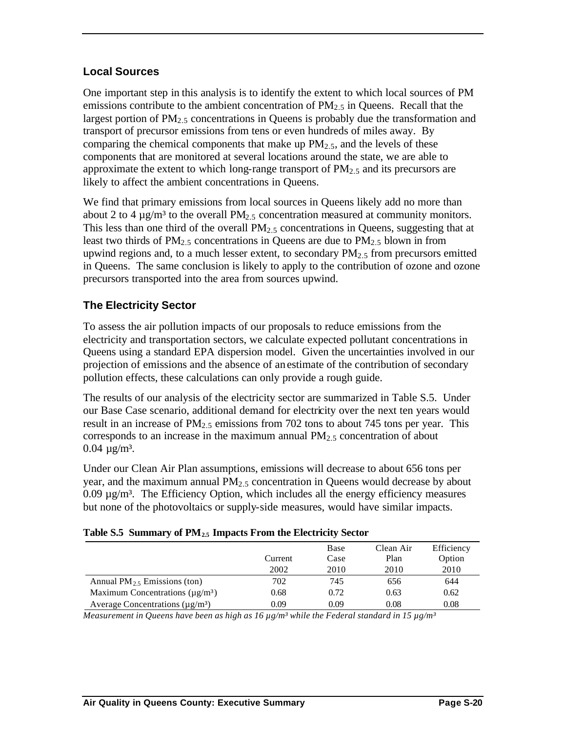### **Local Sources**

One important step in this analysis is to identify the extent to which local sources of PM emissions contribute to the ambient concentration of  $PM_{2.5}$  in Queens. Recall that the largest portion of  $PM<sub>2</sub>$ , concentrations in Queens is probably due the transformation and transport of precursor emissions from tens or even hundreds of miles away. By comparing the chemical components that make up  $PM_{2.5}$ , and the levels of these components that are monitored at several locations around the state, we are able to approximate the extent to which long-range transport of  $PM_{2.5}$  and its precursors are likely to affect the ambient concentrations in Queens.

We find that primary emissions from local sources in Queens likely add no more than about 2 to 4  $\mu$ g/m<sup>3</sup> to the overall PM<sub>2.5</sub> concentration measured at community monitors. This less than one third of the overall  $PM<sub>2.5</sub>$  concentrations in Queens, suggesting that at least two thirds of PM<sub>2.5</sub> concentrations in Queens are due to PM<sub>2.5</sub> blown in from upwind regions and, to a much lesser extent, to secondary  $PM<sub>2.5</sub>$  from precursors emitted in Queens. The same conclusion is likely to apply to the contribution of ozone and ozone precursors transported into the area from sources upwind.

### **The Electricity Sector**

To assess the air pollution impacts of our proposals to reduce emissions from the electricity and transportation sectors, we calculate expected pollutant concentrations in Queens using a standard EPA dispersion model. Given the uncertainties involved in our projection of emissions and the absence of an estimate of the contribution of secondary pollution effects, these calculations can only provide a rough guide.

The results of our analysis of the electricity sector are summarized in Table S.5. Under our Base Case scenario, additional demand for electricity over the next ten years would result in an increase of  $PM<sub>2</sub>$ , emissions from 702 tons to about 745 tons per year. This corresponds to an increase in the maximum annual  $PM<sub>2.5</sub>$  concentration of about  $0.04 \mu g/m^3$ .

Under our Clean Air Plan assumptions, emissions will decrease to about 656 tons per year, and the maximum annual  $PM<sub>2.5</sub>$  concentration in Queens would decrease by about  $0.09 \mu g/m<sup>3</sup>$ . The Efficiency Option, which includes all the energy efficiency measures but none of the photovoltaics or supply-side measures, would have similar impacts.

|                                                   |         | Base | Clean Air | Efficiency |
|---------------------------------------------------|---------|------|-----------|------------|
|                                                   | Current | Case | Plan      | Option     |
|                                                   | 2002    | 2010 | 2010      | 2010       |
| Annual $PM_2$ , Emissions (ton)                   | 702     | 745  | 656       | 644        |
| Maximum Concentrations ( $\mu$ g/m <sup>3</sup> ) | 0.68    | 0.72 | 0.63      | 0.62       |
| Average Concentrations ( $\mu$ g/m <sup>3</sup> ) | 0.09    | 0.09 | 0.08      | 0.08       |

*Measurement in Queens have been as high as 16 µg/m³ while the Federal standard in 15 µg/m³*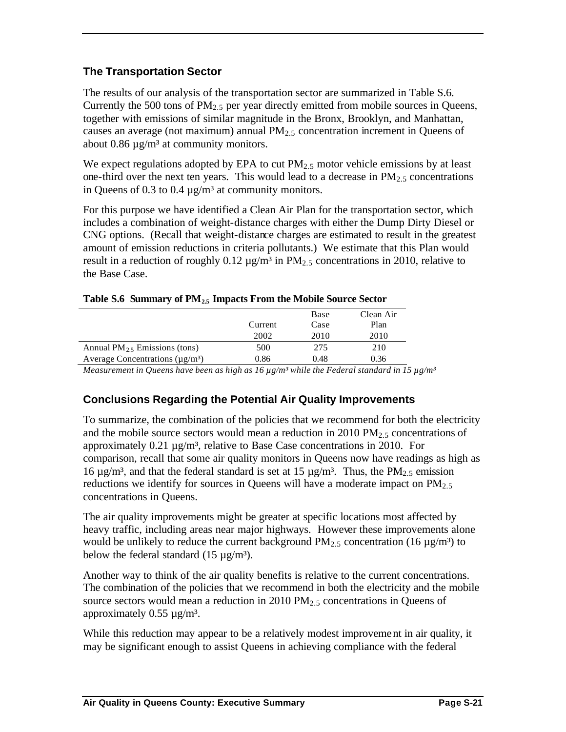### **The Transportation Sector**

The results of our analysis of the transportation sector are summarized in Table S.6. Currently the 500 tons of  $PM_{2.5}$  per year directly emitted from mobile sources in Queens, together with emissions of similar magnitude in the Bronx, Brooklyn, and Manhattan, causes an average (not maximum) annual  $PM<sub>2.5</sub>$  concentration increment in Queens of about 0.86  $\mu$ g/m<sup>3</sup> at community monitors.

We expect regulations adopted by EPA to cut  $PM_{2.5}$  motor vehicle emissions by at least one-third over the next ten years. This would lead to a decrease in  $PM_{2.5}$  concentrations in Queens of 0.3 to 0.4  $\mu$ g/m<sup>3</sup> at community monitors.

For this purpose we have identified a Clean Air Plan for the transportation sector, which includes a combination of weight-distance charges with either the Dump Dirty Diesel or CNG options. (Recall that weight-distance charges are estimated to result in the greatest amount of emission reductions in criteria pollutants.) We estimate that this Plan would result in a reduction of roughly 0.12  $\mu$ g/m<sup>3</sup> in PM<sub>2.5</sub> concentrations in 2010, relative to the Base Case.

|                                                   |         | Base | Clean Air |
|---------------------------------------------------|---------|------|-----------|
|                                                   | Current | Case | Plan      |
|                                                   | 2002    | 2010 | 2010      |
| Annual $PM_2$ , Emissions (tons)                  | 500     | 275  | 210       |
| Average Concentrations ( $\mu$ g/m <sup>3</sup> ) | 0.86    | 0.48 | 0.36      |
|                                                   |         |      |           |

|  |  |  | Table S.6 Summary of PM <sub>2.5</sub> Impacts From the Mobile Source Sector |
|--|--|--|------------------------------------------------------------------------------|
|--|--|--|------------------------------------------------------------------------------|

*Measurement in Queens have been as high as 16 µg/m³ while the Federal standard in 15 µg/m³*

### **Conclusions Regarding the Potential Air Quality Improvements**

To summarize, the combination of the policies that we recommend for both the electricity and the mobile source sectors would mean a reduction in 2010 PM $<sub>2.5</sub>$  concentrations of</sub> approximately  $0.21 \mu g/m^3$ , relative to Base Case concentrations in 2010. For comparison, recall that some air quality monitors in Queens now have readings as high as 16  $\mu$ g/m<sup>3</sup>, and that the federal standard is set at 15  $\mu$ g/m<sup>3</sup>. Thus, the PM<sub>2.5</sub> emission reductions we identify for sources in Queens will have a moderate impact on  $PM<sub>2.5</sub>$ concentrations in Queens.

The air quality improvements might be greater at specific locations most affected by heavy traffic, including areas near major highways. However these improvements alone would be unlikely to reduce the current background  $PM_{2.5}$  concentration (16  $\mu$ g/m<sup>3</sup>) to below the federal standard  $(15 \mu g/m^3)$ .

Another way to think of the air quality benefits is relative to the current concentrations. The combination of the policies that we recommend in both the electricity and the mobile source sectors would mean a reduction in 2010 PM<sub>2.5</sub> concentrations in Queens of approximately  $0.55 \mu g/m^3$ .

While this reduction may appear to be a relatively modest improvement in air quality, it may be significant enough to assist Queens in achieving compliance with the federal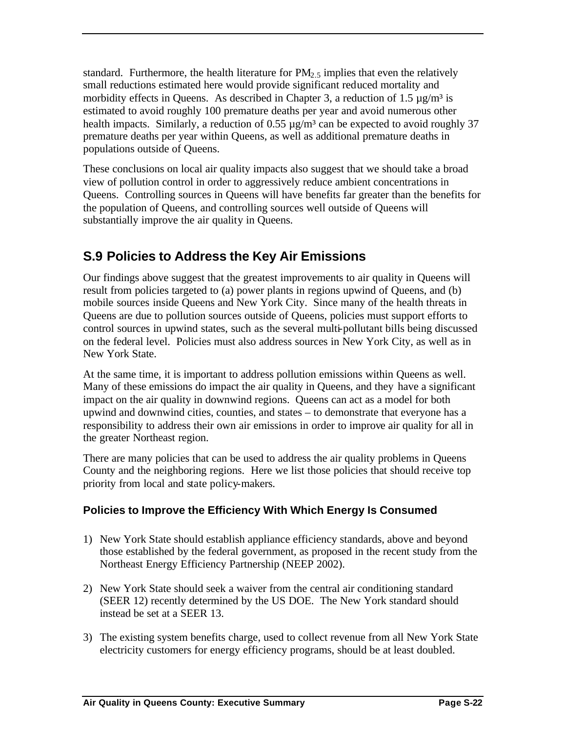standard. Furthermore, the health literature for  $PM<sub>2.5</sub>$  implies that even the relatively small reductions estimated here would provide significant reduced mortality and morbidity effects in Queens. As described in Chapter 3, a reduction of 1.5  $\mu$ g/m<sup>3</sup> is estimated to avoid roughly 100 premature deaths per year and avoid numerous other health impacts. Similarly, a reduction of 0.55  $\mu$ g/m<sup>3</sup> can be expected to avoid roughly 37 premature deaths per year within Queens, as well as additional premature deaths in populations outside of Queens.

These conclusions on local air quality impacts also suggest that we should take a broad view of pollution control in order to aggressively reduce ambient concentrations in Queens. Controlling sources in Queens will have benefits far greater than the benefits for the population of Queens, and controlling sources well outside of Queens will substantially improve the air quality in Queens.

### **S.9 Policies to Address the Key Air Emissions**

Our findings above suggest that the greatest improvements to air quality in Queens will result from policies targeted to (a) power plants in regions upwind of Queens, and (b) mobile sources inside Queens and New York City. Since many of the health threats in Queens are due to pollution sources outside of Queens, policies must support efforts to control sources in upwind states, such as the several multi-pollutant bills being discussed on the federal level. Policies must also address sources in New York City, as well as in New York State.

At the same time, it is important to address pollution emissions within Queens as well. Many of these emissions do impact the air quality in Queens, and they have a significant impact on the air quality in downwind regions. Queens can act as a model for both upwind and downwind cities, counties, and states – to demonstrate that everyone has a responsibility to address their own air emissions in order to improve air quality for all in the greater Northeast region.

There are many policies that can be used to address the air quality problems in Queens County and the neighboring regions. Here we list those policies that should receive top priority from local and state policy-makers.

### **Policies to Improve the Efficiency With Which Energy Is Consumed**

- 1) New York State should establish appliance efficiency standards, above and beyond those established by the federal government, as proposed in the recent study from the Northeast Energy Efficiency Partnership (NEEP 2002).
- 2) New York State should seek a waiver from the central air conditioning standard (SEER 12) recently determined by the US DOE. The New York standard should instead be set at a SEER 13.
- 3) The existing system benefits charge, used to collect revenue from all New York State electricity customers for energy efficiency programs, should be at least doubled.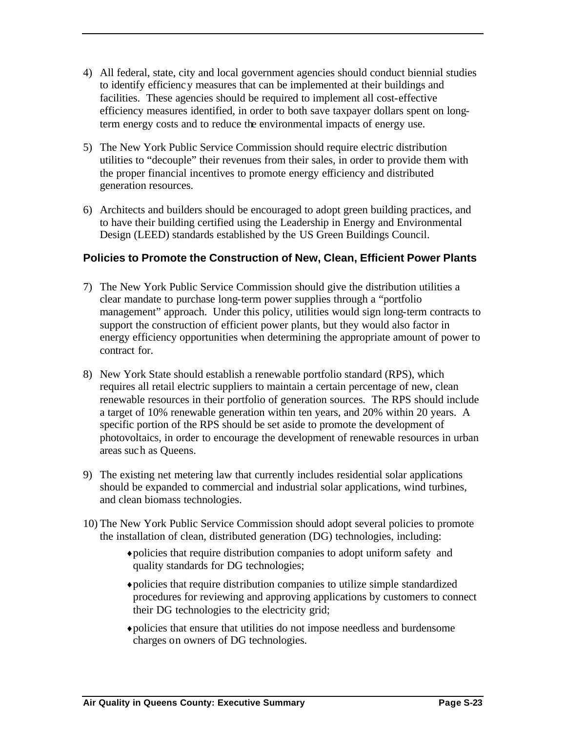- 4) All federal, state, city and local government agencies should conduct biennial studies to identify efficiency measures that can be implemented at their buildings and facilities. These agencies should be required to implement all cost-effective efficiency measures identified, in order to both save taxpayer dollars spent on longterm energy costs and to reduce the environmental impacts of energy use.
- 5) The New York Public Service Commission should require electric distribution utilities to "decouple" their revenues from their sales, in order to provide them with the proper financial incentives to promote energy efficiency and distributed generation resources.
- 6) Architects and builders should be encouraged to adopt green building practices, and to have their building certified using the Leadership in Energy and Environmental Design (LEED) standards established by the US Green Buildings Council.

### **Policies to Promote the Construction of New, Clean, Efficient Power Plants**

- 7) The New York Public Service Commission should give the distribution utilities a clear mandate to purchase long-term power supplies through a "portfolio management" approach. Under this policy, utilities would sign long-term contracts to support the construction of efficient power plants, but they would also factor in energy efficiency opportunities when determining the appropriate amount of power to contract for.
- 8) New York State should establish a renewable portfolio standard (RPS), which requires all retail electric suppliers to maintain a certain percentage of new, clean renewable resources in their portfolio of generation sources. The RPS should include a target of 10% renewable generation within ten years, and 20% within 20 years. A specific portion of the RPS should be set aside to promote the development of photovoltaics, in order to encourage the development of renewable resources in urban areas such as Queens.
- 9) The existing net metering law that currently includes residential solar applications should be expanded to commercial and industrial solar applications, wind turbines, and clean biomass technologies.
- 10) The New York Public Service Commission should adopt several policies to promote the installation of clean, distributed generation (DG) technologies, including:
	- ♦ policies that require distribution companies to adopt uniform safety and quality standards for DG technologies;
	- ♦ policies that require distribution companies to utilize simple standardized procedures for reviewing and approving applications by customers to connect their DG technologies to the electricity grid;
	- ♦ policies that ensure that utilities do not impose needless and burdensome charges on owners of DG technologies.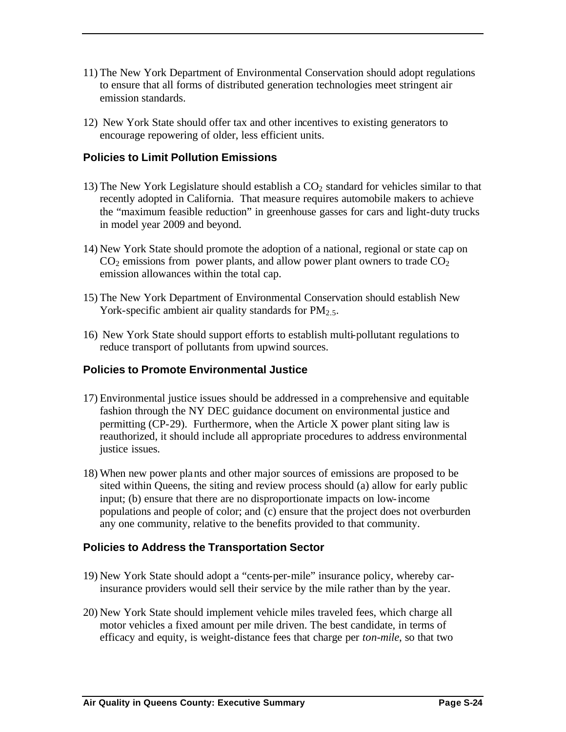- 11) The New York Department of Environmental Conservation should adopt regulations to ensure that all forms of distributed generation technologies meet stringent air emission standards.
- 12) New York State should offer tax and other incentives to existing generators to encourage repowering of older, less efficient units.

#### **Policies to Limit Pollution Emissions**

- 13) The New York Legislature should establish a  $CO<sub>2</sub>$  standard for vehicles similar to that recently adopted in California. That measure requires automobile makers to achieve the "maximum feasible reduction" in greenhouse gasses for cars and light-duty trucks in model year 2009 and beyond.
- 14) New York State should promote the adoption of a national, regional or state cap on  $CO<sub>2</sub>$  emissions from power plants, and allow power plant owners to trade  $CO<sub>2</sub>$ emission allowances within the total cap.
- 15) The New York Department of Environmental Conservation should establish New York-specific ambient air quality standards for  $PM_{2.5}$ .
- 16) New York State should support efforts to establish multi-pollutant regulations to reduce transport of pollutants from upwind sources.

#### **Policies to Promote Environmental Justice**

- 17) Environmental justice issues should be addressed in a comprehensive and equitable fashion through the NY DEC guidance document on environmental justice and permitting (CP-29). Furthermore, when the Article X power plant siting law is reauthorized, it should include all appropriate procedures to address environmental justice issues.
- 18) When new power plants and other major sources of emissions are proposed to be sited within Queens, the siting and review process should (a) allow for early public input; (b) ensure that there are no disproportionate impacts on low-income populations and people of color; and (c) ensure that the project does not overburden any one community, relative to the benefits provided to that community.

#### **Policies to Address the Transportation Sector**

- 19) New York State should adopt a "cents-per-mile" insurance policy, whereby carinsurance providers would sell their service by the mile rather than by the year.
- 20) New York State should implement vehicle miles traveled fees, which charge all motor vehicles a fixed amount per mile driven. The best candidate, in terms of efficacy and equity, is weight-distance fees that charge per *ton-mile*, so that two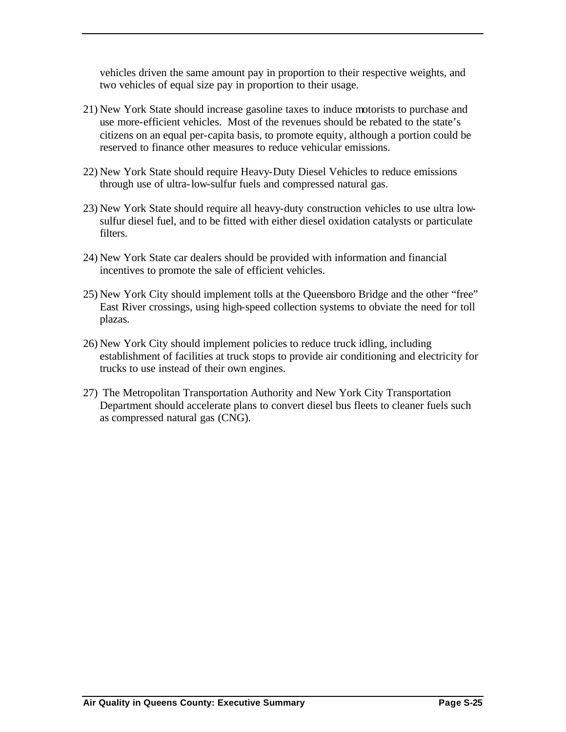vehicles driven the same amount pay in proportion to their respective weights, and two vehicles of equal size pay in proportion to their usage.

- 21) New York State should increase gasoline taxes to induce motorists to purchase and use more-efficient vehicles. Most of the revenues should be rebated to the state's citizens on an equal per-capita basis, to promote equity, although a portion could be reserved to finance other measures to reduce vehicular emissions.
- 22) New York State should require Heavy-Duty Diesel Vehicles to reduce emissions through use of ultra-low-sulfur fuels and compressed natural gas.
- 23) New York State should require all heavy-duty construction vehicles to use ultra lowsulfur diesel fuel, and to be fitted with either diesel oxidation catalysts or particulate filters.
- 24) New York State car dealers should be provided with information and financial incentives to promote the sale of efficient vehicles.
- 25) New York City should implement tolls at the Queensboro Bridge and the other "free" East River crossings, using high-speed collection systems to obviate the need for toll plazas.
- 26) New York City should implement policies to reduce truck idling, including establishment of facilities at truck stops to provide air conditioning and electricity for trucks to use instead of their own engines.
- 27) The Metropolitan Transportation Authority and New York City Transportation Department should accelerate plans to convert diesel bus fleets to cleaner fuels such as compressed natural gas (CNG).